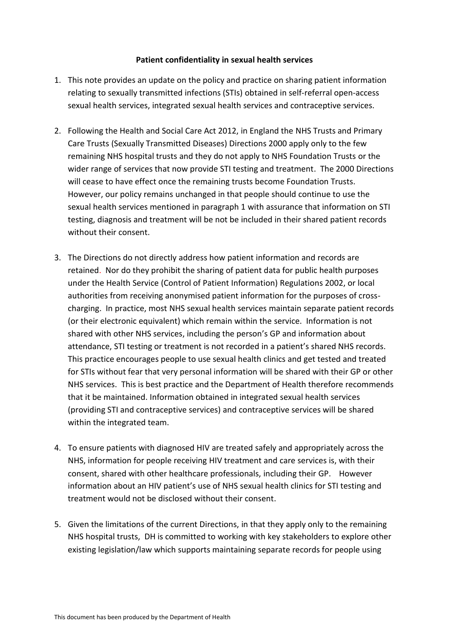## **Patient confidentiality in sexual health services**

- 1. This note provides an update on the policy and practice on sharing patient information relating to sexually transmitted infections (STIs) obtained in self-referral open-access sexual health services, integrated sexual health services and contraceptive services.
- 2. Following the Health and Social Care Act 2012, in England the NHS Trusts and Primary Care Trusts (Sexually Transmitted Diseases) Directions 2000 apply only to the few remaining NHS hospital trusts and they do not apply to NHS Foundation Trusts or the wider range of services that now provide STI testing and treatment. The 2000 Directions will cease to have effect once the remaining trusts become Foundation Trusts. However, our policy remains unchanged in that people should continue to use the sexual health services mentioned in paragraph 1 with assurance that information on STI testing, diagnosis and treatment will be not be included in their shared patient records without their consent.
- 3. The Directions do not directly address how patient information and records are retained. Nor do they prohibit the sharing of patient data for public health purposes under the Health Service (Control of Patient Information) Regulations 2002, or local authorities from receiving anonymised patient information for the purposes of crosscharging. In practice, most NHS sexual health services maintain separate patient records (or their electronic equivalent) which remain within the service. Information is not shared with other NHS services, including the person's GP and information about attendance, STI testing or treatment is not recorded in a patient's shared NHS records. This practice encourages people to use sexual health clinics and get tested and treated for STIs without fear that very personal information will be shared with their GP or other NHS services. This is best practice and the Department of Health therefore recommends that it be maintained. Information obtained in integrated sexual health services (providing STI and contraceptive services) and contraceptive services will be shared within the integrated team.
- 4. To ensure patients with diagnosed HIV are treated safely and appropriately across the NHS, information for people receiving HIV treatment and care services is, with their consent, shared with other healthcare professionals, including their GP. However information about an HIV patient's use of NHS sexual health clinics for STI testing and treatment would not be disclosed without their consent.
- 5. Given the limitations of the current Directions, in that they apply only to the remaining NHS hospital trusts, DH is committed to working with key stakeholders to explore other existing legislation/law which supports maintaining separate records for people using